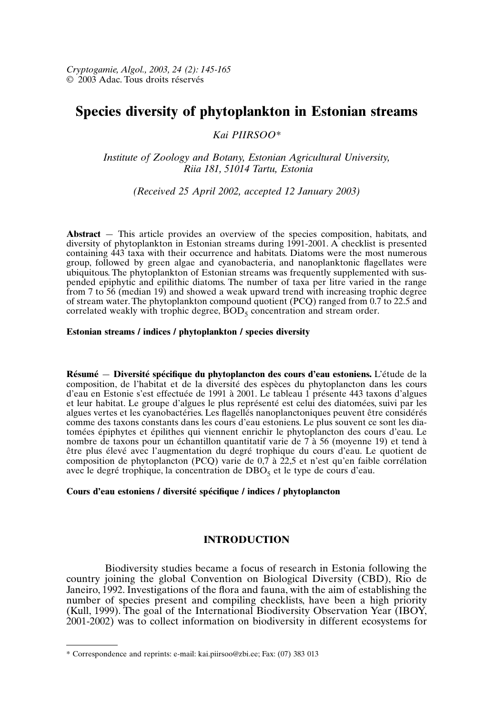# **Species diversity of phytoplankton in Estonian streams**

### *Kai PIIRSOO\**

*Institute of Zoology and Botany, Estonian Agricultural University, Riia 181, 51014 Tartu, Estonia*

*(Received 25 April 2002, accepted 12 January 2003)*

**Abstract** — This article provides an overview of the species composition, habitats, and diversity of phytoplankton in Estonian streams during 1991-2001. A checklist is presented containing 443 taxa with their occurrence and habitats. Diatoms were the most numerous group, followed by green algae and cyanobacteria, and nanoplanktonic flagellates were ubiquitous. The phytoplankton of Estonian streams was frequently supplemented with suspended epiphytic and epilithic diatoms. The number of taxa per litre varied in the range from 7 to 56 (median 19) and showed a weak upward trend with increasing trophic degree of stream water. The phytoplankton compound quotient (PCQ) ranged from 0.7 to 22.5 and correlated weakly with trophic degree,  $\angle BOD<sub>5</sub>$  concentration and stream order.

#### **Estonian streams / indices / phytoplankton / species diversity**

**Résumé** — **Diversité spécifique du phytoplancton des cours d'eau estoniens.** L'étude de la composition, de l'habitat et de la diversité des espèces du phytoplancton dans les cours d'eau en Estonie s'est effectuée de 1991 à 2001. Le tableau 1 présente 443 taxons d'algues et leur habitat. Le groupe d'algues le plus représenté est celui des diatomées, suivi par les algues vertes et les cyanobactéries. Les flagellés nanoplanctoniques peuvent être considérés comme des taxons constants dans les cours d'eau estoniens. Le plus souvent ce sont les diatomées épiphytes et épilithes qui viennent enrichir le phytoplancton des cours d'eau. Le nombre de taxons pour un échantillon quantitatif varie de 7 à 56 (moyenne 19) et tend à être plus élevé avec l'augmentation du degré trophique du cours d'eau. Le quotient de composition de phytoplancton (PCQ) varie de  $0,\overline{7}$  à 22,5 et n'est qu'en faible corrélation avec le degré trophique, la concentration de  $DBO<sub>5</sub>$  et le type de cours d'eau.

#### **Cours d'eau estoniens / diversité spécifique / indices / phytoplancton**

## **INTRODUCTION**

Biodiversity studies became a focus of research in Estonia following the country joining the global Convention on Biological Diversity (CBD), Rio de Janeiro, 1992. Investigations of the flora and fauna, with the aim of establishing the number of species present and compiling checklists, have been a high priority (Kull, 1999). The goal of the International Biodiversity Observation Year (IBOY, 2001-2002) was to collect information on biodiversity in different ecosystems for

<sup>\*</sup> Correspondence and reprints: e-mail: kai.piirsoo@zbi.ee; Fax: (07) 383 013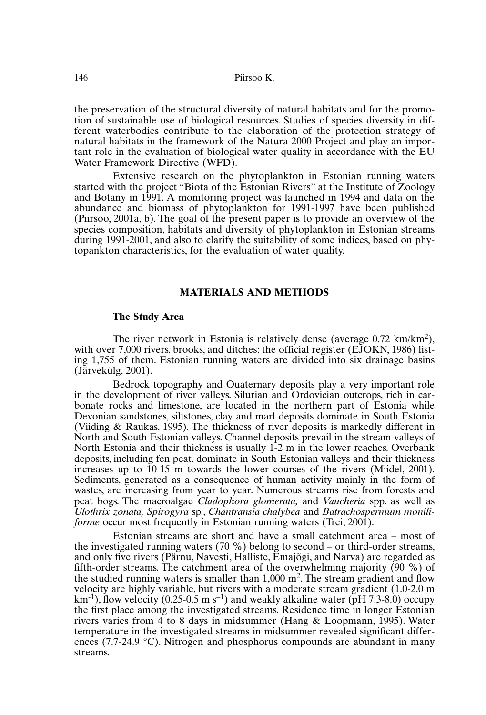the preservation of the structural diversity of natural habitats and for the promotion of sustainable use of biological resources. Studies of species diversity in different waterbodies contribute to the elaboration of the protection strategy of natural habitats in the framework of the Natura 2000 Project and play an important role in the evaluation of biological water quality in accordance with the EU Water Framework Directive (WFD).

Extensive research on the phytoplankton in Estonian running waters started with the project "Biota of the Estonian Rivers" at the Institute of Zoology and Botany in 1991. A monitoring project was launched in 1994 and data on the abundance and biomass of phytoplankton for 1991-1997 have been published (Piirsoo, 2001a, b). The goal of the present paper is to provide an overview of the species composition, habitats and diversity of phytoplankton in Estonian streams during 1991-2001, and also to clarify the suitability of some indices, based on phytopankton characteristics, for the evaluation of water quality.

#### **MATERIALS AND METHODS**

#### **The Study Area**

The river network in Estonia is relatively dense (average 0.72 km/km2), with over 7,000 rivers, brooks, and ditches; the official register (EJOKN, 1986) listing 1,755 of them. Estonian running waters are divided into six drainage basins (Järvekülg, 2001).

Bedrock topography and Quaternary deposits play a very important role in the development of river valleys. Silurian and Ordovician outcrops, rich in carbonate rocks and limestone, are located in the northern part of Estonia while Devonian sandstones, siltstones, clay and marl deposits dominate in South Estonia (Viiding & Raukas, 1995). The thickness of river deposits is markedly different in North and South Estonian valleys. Channel deposits prevail in the stream valleys of North Estonia and their thickness is usually 1-2 m in the lower reaches. Overbank deposits, including fen peat, dominate in South Estonian valleys and their thickness increases up to 10-15 m towards the lower courses of the rivers (Miidel, 2001). Sediments, generated as a consequence of human activity mainly in the form of wastes, are increasing from year to year. Numerous streams rise from forests and peat bogs. The macroalgae *Cladophora glomerata,* and *Vaucheria* spp. as well as *Ulothrix zonata, Spirogyra* sp., *Chantransia chalybea* and *Batrachospermum moniliforme* occur most frequently in Estonian running waters (Trei, 2001).

Estonian streams are short and have a small catchment area – most of the investigated running waters (70 %) belong to second – or third-order streams, and only five rivers (Pärnu, Navesti, Halliste, Emajõgi, and Narva) are regarded as fifth-order streams. The catchment area of the overwhelming majority (90 %) of the studied running waters is smaller than  $1,000$  m<sup>2</sup>. The stream gradient and flow velocity are highly variable, but rivers with a moderate stream gradient (1.0-2.0 m  $km^{-1}$ ), flow velocity (0.25-0.5 m s<sup>-1</sup>) and weakly alkaline water ( $pH$  7.3-8.0) occupy the first place among the investigated streams. Residence time in longer Estonian rivers varies from 4 to 8 days in midsummer (Hang & Loopmann, 1995). Water temperature in the investigated streams in midsummer revealed significant differences (7.7-24.9  $\degree$ C). Nitrogen and phosphorus compounds are abundant in many streams.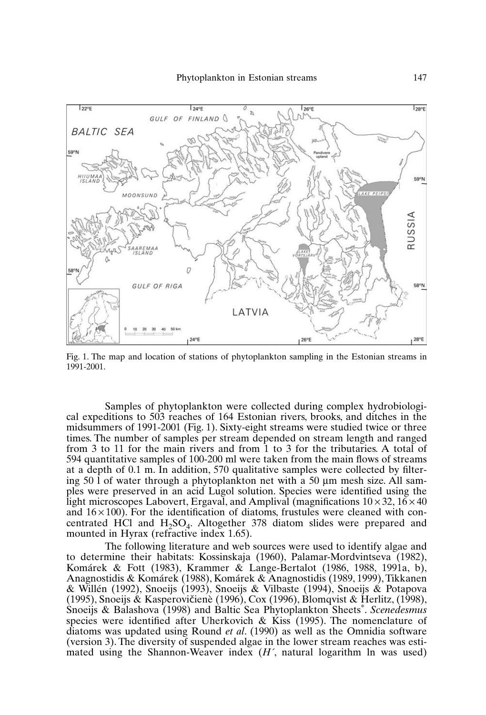

Fig. 1. The map and location of stations of phytoplankton sampling in the Estonian streams in 1991-2001.

Samples of phytoplankton were collected during complex hydrobiological expeditions to 503 reaches of 164 Estonian rivers, brooks, and ditches in the midsummers of 1991-2001 (Fig. 1). Sixty-eight streams were studied twice or three times. The number of samples per stream depended on stream length and ranged from 3 to 11 for the main rivers and from 1 to 3 for the tributaries. A total of 594 quantitative samples of 100-200 ml were taken from the main flows of streams at a depth of 0.1 m. In addition, 570 qualitative samples were collected by filtering 50  $\hat{I}$  of water through a phytoplankton net with a 50  $\mu$ m mesh size. All samples were preserved in an acid Lugol solution. Species were identified using the light microscopes Labovert, Ergaval, and Amplival (magnifications  $10 \times 32$ ,  $16 \times 40$ ) and  $16 \times 100$ ). For the identification of diatoms, frustules were cleaned with concentrated HCl and  $H_2SO_4$ . Altogether 378 diatom slides were prepared and mounted in Hyrax (refractive index 1.65).

The following literature and web sources were used to identify algae and to determine their habitats: Kossinskaja (1960), Palamar-Mordvintseva (1982), Komárek & Fott (1983), Krammer & Lange-Bertalot (1986, 1988, 1991a, b), Anagnostidis & Komárek (1988), Komárek & Anagnostidis (1989, 1999), Tikkanen & Willén (1992), Snoeijs (1993), Snoeijs & Vilbaste (1994), Snoeijs & Potapova (1995), Snoeijs & Kasperovičienè (1996), Cox (1996), Blomqvist & Herlitz, (1998), Snoeijs & Balashova (1998) and Baltic Sea Phytoplankton Sheets\*. *Scenedesmus* species were identified after Uherkovich & Kiss  $(1995)$ . The nomenclature of diatoms was updated using Round *et al*. (1990) as well as the Omnidia software (version 3). The diversity of suspended algae in the lower stream reaches was estimated using the Shannon-Weaver index (*H´*, natural logarithm ln was used)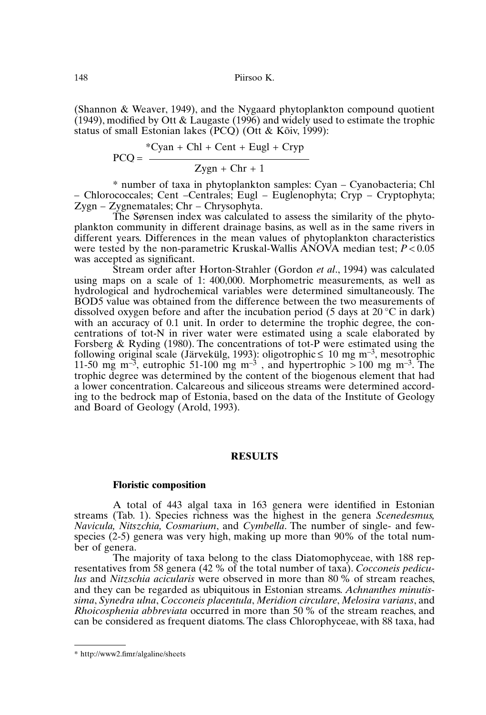(Shannon & Weaver, 1949), and the Nygaard phytoplankton compound quotient  $(1949)$ , modified by Ott & Laugaste  $(1996)$  and widely used to estimate the trophic status of small Estonian lakes (PCQ) (Ott & Kõiv, 1999):

$$
PCQ = \frac{{}^{*}Cyan + Chl + Cent + Eugl + Cryp}{Zygn + Chr + 1}
$$

\* number of taxa in phytoplankton samples: Cyan – Cyanobacteria; Chl – Chlorococcales; Cent –Centrales; Eugl – Euglenophyta; Cryp – Cryptophyta; Zygn – Zygnematales; Chr – Chrysophyta.

The Sørensen index was calculated to assess the similarity of the phytoplankton community in different drainage basins, as well as in the same rivers in different years. Differences in the mean values of phytoplankton characteristics were tested by the non-parametric Kruskal-Wallis ANOVA median test; *P* < 0.05 was accepted as significant.

Stream order after Horton-Strahler (Gordon *et al*., 1994) was calculated using maps on a scale of 1: 400,000. Morphometric measurements, as well as hydrological and hydrochemical variables were determined simultaneously. The BOD5 value was obtained from the difference between the two measurements of dissolved oxygen before and after the incubation period (5 days at 20°C in dark) with an accuracy of 0.1 unit. In order to determine the trophic degree, the concentrations of tot-N in river water were estimated using a scale elaborated by Forsberg & Ryding (1980). The concentrations of tot-P were estimated using the following original scale (Järvekülg, 1993): oligotrophic  $\leq 10$  mg m<sup>-3</sup>, mesotrophic 11-50 mg m<sup>-3</sup>, eutrophic 51-100 mg m<sup>-3</sup>, and hypertrophic  $> 100$  mg m<sup>-3</sup>. The trophic degree was determined by the content of the biogenous element that had a lower concentration. Calcareous and siliceous streams were determined according to the bedrock map of Estonia, based on the data of the Institute of Geology and Board of Geology (Arold, 1993).

#### **RESULTS**

#### **Floristic composition**

A total of 443 algal taxa in 163 genera were identified in Estonian streams (Tab. 1). Species richness was the highest in the genera *Scenedesmus, Navicula, Nitszchia, Cosmarium*, and *Cymbella*. The number of single- and fewspecies (2-5) genera was very high, making up more than 90% of the total number of genera.

The majority of taxa belong to the class Diatomophyceae, with 188 representatives from 58 genera (42 % of the total number of taxa). *Cocconeis pediculus* and *Nitzschia acicularis* were observed in more than 80% of stream reaches, and they can be regarded as ubiquitous in Estonian streams. *Achnanthes minutissima*, *Synedra ulna*, *Cocconeis placentula*, *Meridion circulare*, *Melosira varians*, and *Rhoicosphenia abbreviata* occurred in more than 50% of the stream reaches, and can be considered as frequent diatoms. The class Chlorophyceae, with 88 taxa, had

<sup>\*</sup> http://www2.fimr/algaline/sheets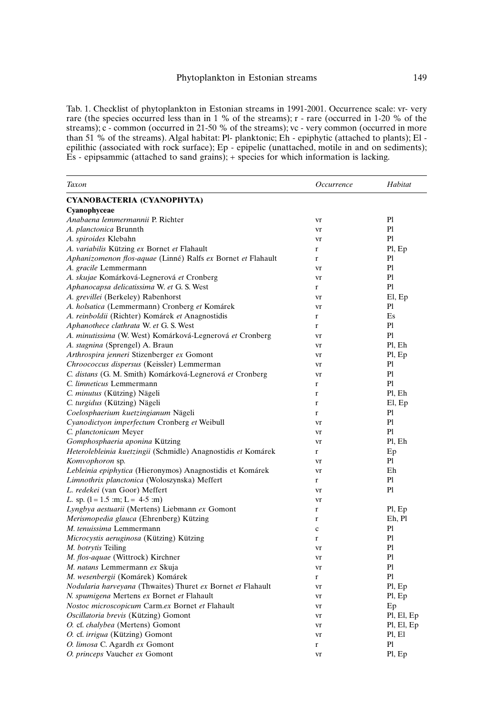Tab. 1. Checklist of phytoplankton in Estonian streams in 1991-2001. Occurrence scale: vr- very rare (the species occurred less than in 1 % of the streams); r - rare (occurred in 1-20 % of the streams); c - common (occurred in 21-50 % of the streams); vc - very common (occurred in more than 51 % of the streams). Algal habitat: Pl- planktonic; Eh - epiphytic (attached to plants); El epilithic (associated with rock surface); Ep - epipelic (unattached, motile in and on sediments); Es - epipsammic (attached to sand grains); + species for which information is lacking.

| Taxon                                                         | Occurrence        | Habitat        |
|---------------------------------------------------------------|-------------------|----------------|
| CYANOBACTERIA (CYANOPHYTA)                                    |                   |                |
| Cyanophyceae                                                  |                   |                |
| Anabaena lemmermannii P. Richter                              | vr                | Pl             |
| A. planctonica Brunnth                                        | vr                | P1             |
| A. spiroides Klebahn                                          | vr                | P1             |
| A. variabilis Kützing ex Bornet et Flahault                   | r                 | Pl, Ep         |
| Aphanizomenon flos-aquae (Linné) Ralfs ex Bornet et Flahault  | $\mathbf{r}$      | Pl             |
| A. gracile Lemmermann                                         | vr                | P1             |
| A. skujae Komárková-Legnerová et Cronberg                     | vr                | P1             |
| Aphanocapsa delicatissima W. et G. S. West                    | $\mathbf{r}$      | P1             |
| A. grevillei (Berkeley) Rabenhorst                            | vr                | El, Ep         |
| A. holsatica (Lemmermann) Cronberg et Komárek                 | vr                | Pl             |
| A. reinboldii (Richter) Komárek et Anagnostidis               | r                 | Es             |
| Aphanothece clathrata W. et G. S. West                        | r                 | P1             |
| A. minutissima (W. West) Komárková-Legnerová et Cronberg      | vr                | Pl             |
| A. stagnina (Sprengel) A. Braun                               | vr                | Pl, Eh         |
| Arthrospira jenneri Stizenberger ex Gomont                    | vr                | Pl, Ep         |
| Chroococcus dispersus (Keissler) Lemmerman                    | vr                | Pl             |
| C. distans (G. M. Smith) Komárková-Legnerová et Cronberg      | vr                | Pl             |
| C. limneticus Lemmermann                                      | $\mathbf{r}$      | P1             |
| C. minutus (Kützing) Nägeli                                   | $\mathbf{r}$      | Pl, Eh         |
| C. turgidus (Kützing) Nägeli                                  | $\mathbf{r}$      | El, Ep         |
| Coelosphaerium kuetzingianum Nägeli                           | $\mathbf{r}$      | Pl             |
| Cyanodictyon imperfectum Cronberg et Weibull                  | vr                | Pl             |
| C. planctonicum Meyer                                         | vr                | Pl             |
| Gomphosphaeria aponina Kützing                                |                   | Pl, Eh         |
| Heterolebleinia kuetzingii (Schmidle) Anagnostidis et Komárek | vr<br>r           | Ep             |
| Komvophoron sp.                                               | vr                | P1             |
| Lebleinia epiphytica (Hieronymos) Anagnostidis et Komárek     | vr                | Eh             |
| Limnothrix planctonica (Woloszynska) Meffert                  | $\mathbf{r}$      | P1             |
| L. redekei (van Goor) Meffert                                 | vr                | P1             |
| L. sp. $(l = 1.5$ :m; L = 4-5 :m)                             | vr                |                |
| Lyngbya aestuarii (Mertens) Liebmann ex Gomont                |                   | Pl, Ep         |
| Merismopedia glauca (Ehrenberg) Kützing                       | r<br>$\mathbf{r}$ | Eh, Pl         |
| M. tenuissima Lemmermann                                      |                   | Pl             |
| Microcystis aeruginosa (Kützing) Kützing                      | $\mathbf c$       | Pl             |
|                                                               | r                 | Pl             |
| M. botrytis Teiling<br>M. flos-aquae (Wittrock) Kirchner      | vr                | P1             |
|                                                               | vr                | P <sub>1</sub> |
| M. natans Lemmermann ex Skuja                                 | vr                | P1             |
| M. wesenbergii (Komárek) Komárek                              | $\mathbf{r}$      |                |
| Nodularia harveyana (Thwaites) Thuret ex Bornet et Flahault   | vr                | Pl, Ep         |
| N. spumigena Mertens ex Bornet et Flahault                    | vr                | Pl, Ep         |
| Nostoc microscopicum Carm.ex Bornet et Flahault               | vr                | Ep             |
| Oscillatoria brevis (Kützing) Gomont                          | vr                | Pl, El, Ep     |
| O. cf. chalybea (Mertens) Gomont                              | vr                | Pl, El, Ep     |
| O. cf. irrigua (Kützing) Gomont                               | vr                | Pl, El         |
| O. limosa C. Agardh ex Gomont                                 | $\mathbf r$       | Pl             |
| O. princeps Vaucher ex Gomont                                 | vr                | Pl, Ep         |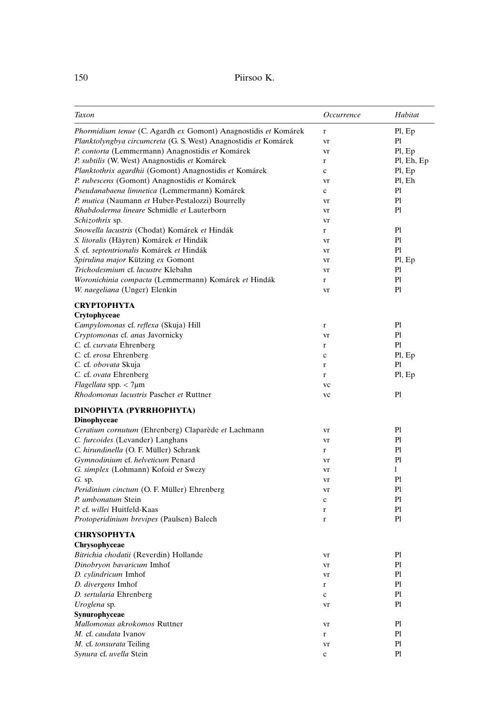| Taxon                                                           | Occurrence | Habitat        |
|-----------------------------------------------------------------|------------|----------------|
| Phormidium tenue (C. Agardh ex Gomont) Anagnostidis et Komárek  | $\bf r$    | Pl, Ep         |
| Planktolyngbya circumcreta (G. S. West) Anagnostidis et Komárek | vr         | Pl             |
| P. contorta (Lemmermann) Anagnostidis et Komárek                | vr         | Pl, Ep         |
| P. subtilis (W. West) Anagnostidis et Komárek                   | r          | Pl, Eh, Ep     |
| Planktothrix agardhii (Gomont) Anagnostidis et Komárek          | c          | Pl, Ep         |
| P. rubescens (Gomont) Anagnostidis et Komárek                   | vr         | Pl, Eh         |
| Pseudanabaena limnetica (Lemmermann) Komárek                    | c          | Pl             |
| P. mutica (Naumann et Huber-Pestalozzi) Bourrelly               | vr         | Pl             |
| Rhabdoderma lineare Schmidle et Lauterborn                      | vr         | P1             |
| <i>Schizothrix</i> sp.                                          | vr         |                |
| Snowella lacustris (Chodat) Komárek et Hindák                   | r          | Pl             |
| S. litoralis (Häyren) Komárek et Hindák                         | vr         | Pl             |
| S. cf. septentrionalis Komárek et Hindák                        | vr         | Pl             |
| Spirulina major Kützing ex Gomont                               | vr         | Pl, Ep         |
| Trichodesmium cf. lacustre Klebahn                              | vr         | Pl             |
| Woronichinia compacta (Lemmermann) Komárek et Hindák            | r          | Pl             |
| W. naegeliana (Unger) Elenkin                                   | vr         | Pl             |
| СКҮРТОРНҮТА                                                     |            |                |
| Crytophyceae                                                    |            |                |
| Campylomonas cf. reflexa (Skuja) Hill                           | r          | Pl             |
| Cryptomonas cf. anas Javornicky                                 | vr         | Pl             |
| C. cf. curvata Ehrenberg                                        | r          | Pl             |
| C. cf. erosa Ehrenberg                                          | c          | Pl, Ep         |
| C. cf. obovata Skuja                                            | r          | Pl             |
| C. cf. ovata Ehrenberg                                          | r          | Pl, Ep         |
| Flagellata spp. < 7µm                                           | vc         |                |
| Rhodomonas lacustris Pascher et Ruttner                         | vc         | Pl             |
| DINOPHYTA (PYRRHOPHYTA)                                         |            |                |
| Dinophyceae                                                     |            |                |
| Ceratium cornutum (Ehrenberg) Claparède et Lachmann             | vr         | Pl             |
| C. furcoides (Levander) Langhans                                | vr         | Pl             |
| C. hirundinella (O. F. Müller) Schrank                          | r          | Pl             |
| Gymnodinium cf. helveticum Penard                               | vr         | P <sub>1</sub> |
| G. simplex (Lohmann) Kofoid et Swezy                            | vr         | 1              |
| $G.$ sp.                                                        | vr         | P <sub>1</sub> |
| Peridinium cinctum (O. F. Müller) Ehrenberg                     | vr         | Pl             |
| P. umbonatum Stein                                              | c          | Pl             |
| P. cf. willei Huitfeld-Kaas                                     | r          | Pl             |
| Protoperidinium brevipes (Paulsen) Balech                       | r          | Pl             |
| <b>CHRYSOPHYTA</b>                                              |            |                |
| Chrysophyceae                                                   |            |                |
| Bitrichia chodatii (Reverdin) Hollande                          | vr         | Pl             |
| Dinobryon bavaricum Imhof                                       | vr         | Pl             |
| D. cylindricum Imhof                                            | vr         | Pl             |
| D. divergens Imhof                                              | r          | Pl             |
| D. sertularia Ehrenberg                                         | c          | Pl             |
| Uroglena sp.                                                    | vr         | Pl             |
| Synurophyceae                                                   |            |                |
| Mallomonas akrokomos Ruttner                                    | vr         | Pl             |
| M. cf. caudata Ivanov                                           | r          | Pl             |
| M. cf. tonsurata Teiling                                        | vr         | Pl             |
| Synura cf. uvella Stein                                         | c          | Pl             |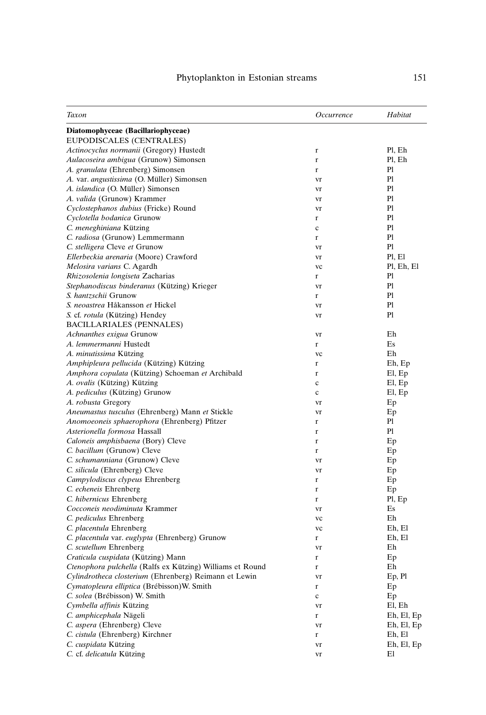| Taxon                                                     | Occurrence  | Habitat    |
|-----------------------------------------------------------|-------------|------------|
| Diatomophyceae (Bacillariophyceae)                        |             |            |
| EUPODISCALES (CENTRALES)                                  |             |            |
| Actinocyclus normanii (Gregory) Hustedt                   | r           | Pl, Eh     |
| Aulacoseira ambigua (Grunow) Simonsen                     | r           | Pl, Eh     |
| A. granulata (Ehrenberg) Simonsen                         | $\mathbf r$ | Pl         |
| A. var. angustissima (O. Müller) Simonsen                 | vr          | Pl         |
| A. islandica (O. Müller) Simonsen                         | vr          | Pl         |
| A. valida (Grunow) Krammer                                | vr          | Pl         |
| Cyclostephanos dubius (Fricke) Round                      | vr          | Pl         |
| Cyclotella bodanica Grunow                                | r           | Pl         |
| C. meneghiniana Kützing                                   | c           | Pl         |
| C. radiosa (Grunow) Lemmermann                            | r           | Pl         |
| C. stelligera Cleve et Grunow                             | vr          | Pl         |
| Ellerbeckia arenaria (Moore) Crawford                     | vr          | Pl, El     |
| Melosira varians C. Agardh                                | vc          | Pl, Eh, El |
| Rhizosolenia longiseta Zacharias                          | r           | Pl         |
| Stephanodiscus binderanus (Kützing) Krieger               | vr          | Pl         |
| S. hantzschii Grunow                                      | r           | Pl         |
| S. neoastrea Håkansson et Hickel                          | vr          | Pl         |
| S. cf. rotula (Kützing) Hendey                            | vr          | Pl         |
| BACILLARIALES (PENNALES)                                  |             |            |
| Achnanthes exigua Grunow                                  | vr          | Eh         |
| A. lemmermanni Hustedt                                    | r           | Es         |
| A. minutissima Kützing                                    | vc          | Eh         |
| Amphipleura pellucida (Kützing) Kützing                   | r           | Eh, Ep     |
| Amphora copulata (Kützing) Schoeman et Archibald          | r           | El, Ep     |
| A. ovalis (Kützing) Kützing                               | $\mathbf c$ | El, Ep     |
| A. pediculus (Kützing) Grunow                             | c           | El, Ep     |
| A. robusta Gregory                                        | vr          | Ep         |
| Aneumastus tusculus (Ehrenberg) Mann et Stickle           | vr          | Ep         |
| Anomoeoneis sphaerophora (Ehrenberg) Pfitzer              | r           | Pl         |
| Asterionella formosa Hassall                              | r           | Pl         |
| Caloneis amphisbaena (Bory) Cleve                         | r           | Ep         |
| C. bacillum (Grunow) Cleve                                | r           | Ep         |
| C. schumanniana (Grunow) Cleve                            |             |            |
| C. silicula (Ehrenberg) Cleve                             | vr          | Ep         |
|                                                           | vr          | Ep         |
| Campylodiscus clypeus Ehrenberg                           | r           | Ep         |
| C. echeneis Ehrenberg                                     | r           | Ep         |
| C. hibernicus Ehrenberg                                   | r           | Pl, Ep     |
| Cocconeis neodiminuta Krammer                             | vr          | Es         |
| C. pediculus Ehrenberg                                    | vc          | Eh         |
| C. placentula Ehrenberg                                   | vc          | Eh, El     |
| C. placentula var. euglypta (Ehrenberg) Grunow            | r           | Eh, El     |
| C. scutellum Ehrenberg                                    | vr          | Eh         |
| Craticula cuspidata (Kützing) Mann                        | r           | Ep         |
| Ctenophora pulchella (Ralfs ex Kützing) Williams et Round | r           | Eh         |
| Cylindrotheca closterium (Ehrenberg) Reimann et Lewin     | vr          | Ep, Pl     |
| Cymatopleura elliptica (Brébisson)W. Smith                | r           | Ep         |
| C. solea (Brébisson) W. Smith                             | $\mathbf c$ | Ep         |
| Cymbella affinis Kützing                                  | vr          | El, Eh     |
| C. amphicephala Nägeli                                    | r           | Eh, El, Ep |
| C. aspera (Ehrenberg) Cleve                               | vr          | Eh, El, Ep |
| C. cistula (Ehrenberg) Kirchner                           | r           | Eh, El     |
| C. cuspidata Kützing                                      | vr          | Eh, El, Ep |
| C. cf. delicatula Kützing                                 | vr          | El         |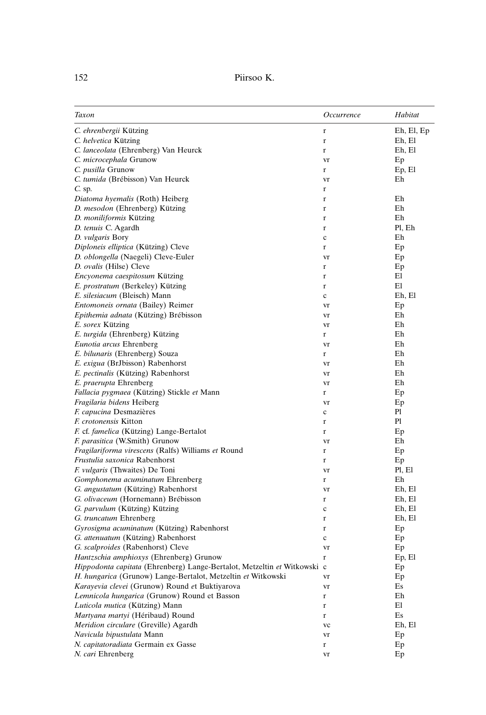| 152 | Piirsoo K. |  |
|-----|------------|--|
|     |            |  |

| Taxon                                                                    | Occurrence  | Habitat    |
|--------------------------------------------------------------------------|-------------|------------|
| C. ehrenbergii Kützing                                                   | r           | Eh, El, Ep |
| C. helvetica Kützing                                                     | r           | Eh, El     |
| C. lanceolata (Ehrenberg) Van Heurck                                     | r           | Eh, El     |
| C. microcephala Grunow                                                   | vr          | Ep         |
| C. pusilla Grunow                                                        | r           | Ep, El     |
| C. tumida (Brébisson) Van Heurck                                         | vr          | Eh         |
| $C.$ sp.                                                                 | r           |            |
| Diatoma hyemalis (Roth) Heiberg                                          | r           | Eh         |
| D. mesodon (Ehrenberg) Kützing                                           | r           | Eh         |
| D. moniliformis Kützing                                                  | r           | Eh         |
| D. tenuis C. Agardh                                                      | r           | Pl, Eh     |
| D. vulgaris Bory                                                         | $\mathbf c$ | Eh         |
| Diploneis elliptica (Kützing) Cleve                                      | $\mathbf r$ | Ep         |
| D. oblongella (Naegeli) Cleve-Euler                                      | vr          | Ep         |
| D. ovalis (Hilse) Cleve                                                  | r           | Ep         |
| Encyonema caespitosum Kützing                                            | r           | El         |
| E. prostratum (Berkeley) Kützing                                         | r           | El         |
| E. silesiacum (Bleisch) Mann                                             | $\mathbf c$ | Eh, El     |
| Entomoneis ornata (Bailey) Reimer                                        | vr          | Ep         |
| Epithemia adnata (Kützing) Brébisson                                     | vr          | Eh         |
| E. sorex Kützing                                                         | vr          | Eh         |
| E. turgida (Ehrenberg) Kützing                                           | r           | Eh         |
| Eunotia arcus Ehrenberg                                                  | vr          | Eh         |
| E. bilunaris (Ehrenberg) Souza                                           | r           | Eh         |
| E. exigua (BrJbisson) Rabenhorst                                         | vr          | Eh         |
| E. pectinalis (Kützing) Rabenhorst                                       | vr          | Eh         |
| E. praerupta Ehrenberg                                                   | vr          | Eh         |
| Fallacia pygmaea (Kützing) Stickle et Mann                               | r           | Ep         |
| Fragilaria bidens Heiberg                                                | vr          | Ep         |
| F. capucina Desmazières                                                  | $\mathbf c$ | Pl         |
| F. crotonensis Kitton                                                    |             | Pl         |
| F. cf. famelica (Kützing) Lange-Bertalot                                 | r           |            |
|                                                                          | r           | Ep         |
| F. parasitica (W.Smith) Grunow                                           | vr          | Eh         |
| Fragilariforma virescens (Ralfs) Williams et Round                       | r           | Ep         |
| Frustulia saxonica Rabenhorst                                            | r           | Ep         |
| F. vulgaris (Thwaites) De Toni                                           | vr          | Pl, El     |
| Gomphonema acuminatum Ehrenberg                                          | r           | Eh         |
| G. angustatum (Kützing) Rabenhorst                                       | vr          | Eh, El     |
| G. olivaceum (Hornemann) Brébisson                                       | r           | Eh, El     |
| G. parvulum (Kützing) Kützing                                            | $\mathbf c$ | Eh, El     |
| G. truncatum Ehrenberg                                                   | r           | Eh, El     |
| Gyrosigma acuminatum (Kützing) Rabenhorst                                | r           | Ep         |
| G. attenuatum (Kützing) Rabenhorst                                       | $\mathbf c$ | Ep         |
| G. scalproides (Rabenhorst) Cleve                                        | vr          | Ep         |
| Hantzschia amphioxys (Ehrenberg) Grunow                                  |             | Ep, El     |
| Hippodonta capitata (Ehrenberg) Lange-Bertalot, Metzeltin et Witkowski c |             | Ep         |
| H. hungarica (Grunow) Lange-Bertalot, Metzeltin et Witkowski             | vr          | Ep         |
| Karayevia clevei (Grunow) Round et Buktiyarova                           | vr          | Es         |
| Lemnicola hungarica (Grunow) Round et Basson                             | r           | Eh         |
| Luticola mutica (Kützing) Mann                                           | r           | El         |
| Martyana martyi (Héribaud) Round                                         | r           | Es         |
| Meridion circulare (Greville) Agardh                                     | vc          | Eh, El     |
| Navicula bipustulata Mann                                                | vr          | Ep         |
| N. capitatoradiata Germain ex Gasse                                      | $\mathbf r$ | Ep         |
| N. cari Ehrenberg                                                        | vr          | Ep         |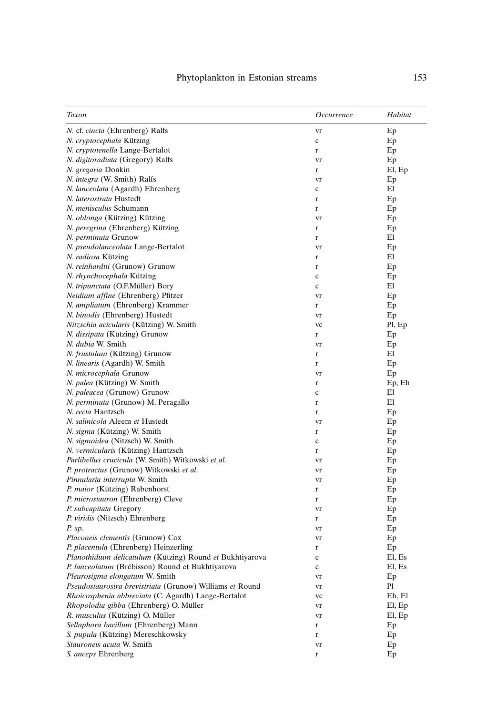| Taxon                                                    | Occurrence  | Habitat |
|----------------------------------------------------------|-------------|---------|
| N. cf. cincta (Ehrenberg) Ralfs                          | vr          | Ep      |
| N. cryptocephala Kützing                                 | c           | Ep      |
| N. cryptotenella Lange-Bertalot                          | r           | Ep      |
| N. digitoradiata (Gregory) Ralfs                         | vr          | Ep      |
| N. gregaria Donkin                                       | r           | El, Ep  |
| N. integra (W. Smith) Ralfs                              | vr          | Ep      |
| N. lanceolata (Agardh) Ehrenberg                         | c           | El      |
| N. laterostrata Hustedt                                  | r           | Ep      |
| N. menisculus Schumann                                   | r           | Ep      |
| N. oblonga (Kützing) Kützing                             | vr          | Ep      |
| N. peregrina (Ehrenberg) Kützing                         | r           | Ep      |
| N. perminuta Grunow                                      | r           | El      |
| N. pseudolanceolata Lange-Bertalot                       | vr          | Ep      |
| N. radiosa Kützing                                       | r           | El      |
| N. reinhardtii (Grunow) Grunow                           | r           | Ep      |
| N. rhynchocephala Kützing                                | c           | Ep      |
| N. tripunctata (O.F.Müller) Bory                         | c           | El      |
| Neidium affine (Ehrenberg) Pfitzer                       | vr          | Ep      |
| N. ampliatum (Ehrenberg) Krammer                         | r           | Ep      |
| N. binodis (Ehrenberg) Hustedt                           | vr          | Ep      |
| Nitzschia acicularis (Kützing) W. Smith                  | vc          | Pl, Ep  |
| N. dissipata (Kützing) Grunow                            | r           | Ep      |
| N. dubia W. Smith                                        | vr          | Ep      |
| <i>N. frustulum</i> (Kützing) Grunow                     | r           | El      |
| N. linearis (Agardh) W. Smith                            | r           | Ep      |
| N. microcephala Grunow                                   | vr          | Ep      |
| N. palea (Kützing) W. Smith                              | r           | Ep, Eh  |
| N. paleacea (Grunow) Grunow                              | $\mathbf c$ | El      |
| N. perminuta (Grunow) M. Peragallo                       | r           | El      |
| N. recta Hantzsch                                        | r           | Ep      |
| N. salinicola Aleem et Hustedt                           | vr          | Ep      |
| N. sigma (Kützing) W. Smith                              | r           | Ep      |
| N. sigmoidea (Nitzsch) W. Smith                          | $\mathbf c$ | Ep      |
| N. vermicularis (Kützing) Hantzsch                       | r           | Ep      |
| Parlibellus crucicula (W. Smith) Witkowski et al.        | vr          | Ep      |
| P. protractus (Grunow) Witkowski et al.                  | vr          | Ep      |
| Pinnularia interrupta W. Smith                           | vr          | Ep      |
| P. maior (Kützing) Rabenhorst                            | r           | Ep      |
| P. microstauron (Ehrenberg) Cleve                        | r           | Ep      |
| P. subcapitata Gregory                                   | vr          | Ep      |
| P. viridis (Nitzsch) Ehrenberg                           | r           | Ep      |
| P. sp.                                                   | vr          | Ep      |
| <i>Placoneis clementis</i> (Grunow) Cox                  | vr          | Ep      |
| P. placentula (Ehrenberg) Heinzerling                    | $\mathbf r$ | Ep      |
| Planothidium delicatulum (Kützing) Round et Bukhtiyarova | c           | El, Es  |
| P. lanceolatum (Brébisson) Round et Bukhtiyarova         | $\mathbf c$ | El, Es  |
| Pleurosigma elongatum W. Smith                           | vr          | Ep      |
| Pseudostaurosira brevistriata (Grunow) Williams et Round | vr          | Pl      |
| Rhoicosphenia abbreviata (C. Agardh) Lange-Bertalot      | vc          | Eh, El  |
| Rhopolodia gibba (Ehrenberg) O. Müller                   | vr          | El, Ep  |
| R. musculus (Kützing) O. Müller                          | vr          | El, Ep  |
| Sellaphora bacillum (Ehrenberg) Mann                     | r           | Ep      |
| S. pupula (Kützing) Mereschkowsky                        | $\bf r$     | Ep      |
| Stauroneis acuta W. Smith                                | vr          | Ep      |
| S. anceps Ehrenberg                                      | r           | Ep      |
|                                                          |             |         |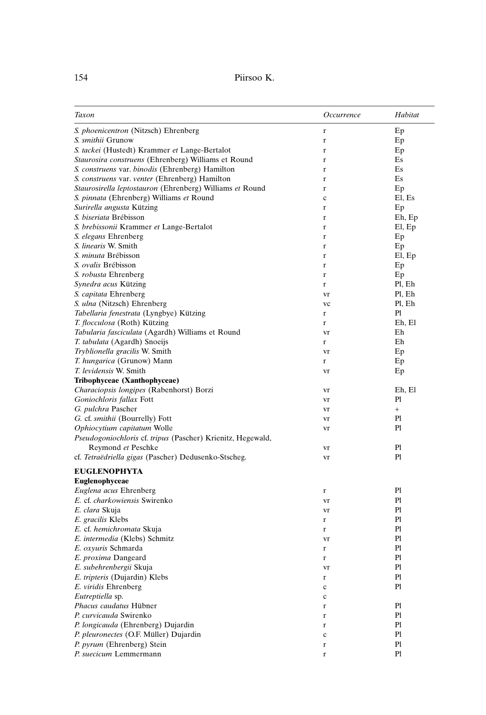# 154 Piirsoo K.

| Taxon                                                       | Occurrence  | Habitat      |
|-------------------------------------------------------------|-------------|--------------|
| S. phoenicentron (Nitzsch) Ehrenberg                        | r           | Ep           |
| <i>S. smithii</i> Grunow                                    | $\bf r$     | Ep           |
| S. tackei (Hustedt) Krammer et Lange-Bertalot               | $\mathbf r$ | Ep           |
| Staurosira construens (Ehrenberg) Williams et Round         | r           | Es           |
| S. construens var. binodis (Ehrenberg) Hamilton             | r           | Es           |
| S. construens var. venter (Ehrenberg) Hamilton              | r           | Es           |
| Staurosirella leptostauron (Ehrenberg) Williams et Round    | r           | Ep           |
| S. pinnata (Ehrenberg) Williams et Round                    | $\mathbf c$ | El, Es       |
| Surirella angusta Kützing                                   | r           | Ep           |
| S. biseriata Brébisson                                      | r           | Eh, Ep       |
| S. brebissonii Krammer et Lange-Bertalot                    | r           | El, Ep       |
| S. elegans Ehrenberg                                        | r           | Ep           |
| S. linearis W. Smith                                        | r           | Ep           |
| S. minuta Brébisson                                         | r           | El, Ep       |
| S. ovalis Brébisson                                         | $\bf r$     | Ep           |
| S. robusta Ehrenberg                                        | r           | Ep           |
| Synedra acus Kützing                                        | r           | Pl, Eh       |
| S. capitata Ehrenberg                                       | vr          | Pl, Eh       |
| S. ulna (Nitzsch) Ehrenberg                                 | vc          | Pl, Eh       |
| Tabellaria fenestrata (Lyngbye) Kützing                     | r           | Pl           |
| T. flocculosa (Roth) Kützing                                | r           | Eh, El       |
| Tabularia fasciculata (Agardh) Williams et Round            | vr          | Eh           |
| T. tabulata (Agardh) Snoeijs                                | r           | Eh           |
| Tryblionella gracilis W. Smith                              | vr          | Ep           |
| T. hungarica (Grunow) Mann                                  | r           | Ep           |
| T. levidensis W. Smith                                      | vr          | Ep           |
| Tribophyceae (Xanthophyceae)                                |             |              |
| Characiopsis longipes (Rabenhorst) Borzi                    | vr          | Eh, El       |
| Goniochloris fallax Fott                                    | vr          | Pl           |
| G. pulchra Pascher<br>G. cf. smithii (Bourrelly) Fott       | vr          | $^{+}$<br>Pl |
| Ophiocytium capitatum Wolle                                 | vr          | Pl           |
| Pseudogoniochloris cf. tripus (Pascher) Krienitz, Hegewald, | vr          |              |
| Reymond et Peschke                                          |             | Pl           |
| cf. Tetraëdriella gigas (Pascher) Dedusenko-Stscheg.        | vr<br>vr    | Pl           |
|                                                             |             |              |
| <b>EUGLENOPHYTA</b><br>Euglenophyceae                       |             |              |
| Euglena acus Ehrenberg                                      | $\mathbf r$ | Pl           |
| E. cf. charkowiensis Swirenko                               | vr          | Pl           |
| E. clara Skuja                                              | vr          | Pl           |
| E. gracilis Klebs                                           | r           | Pl           |
| E. cf. hemichromata Skuja                                   | r           | Pl           |
| E. intermedia (Klebs) Schmitz                               | vr          | Pl           |
| E. oxyuris Schmarda                                         | r           | Pl           |
| E. proxima Dangeard                                         | r           | Pl           |
| E. subehrenbergii Skuja                                     | vr          | Pl           |
| E. tripteris (Dujardin) Klebs                               | $\bf r$     | P1           |
| E. viridis Ehrenberg                                        | $\mathbf c$ | Pl           |
| Eutreptiella sp.                                            | $\mathbf c$ |              |
| Phacus caudatus Hübner                                      | $\mathbf r$ | Pl           |
| P. curvicauda Swirenko                                      | r           | Pl           |
| P. longicauda (Ehrenberg) Dujardin                          | $\mathbf r$ | Pl           |
| P. pleuronectes (O.F. Müller) Dujardin                      | $\mathbf c$ | Pl           |
| P. pyrum (Ehrenberg) Stein                                  | $\mathbf r$ | Pl           |
| P. suecicum Lemmermann                                      | r           | Pl           |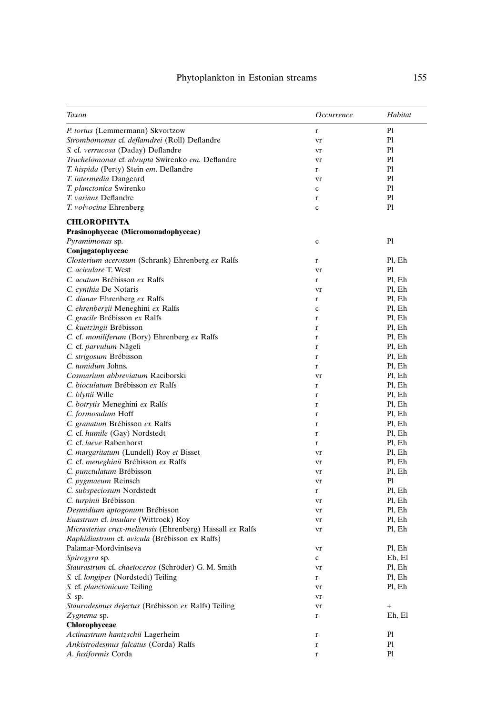| Taxon                                                     | Occurrence   | Habitat           |
|-----------------------------------------------------------|--------------|-------------------|
| P. tortus (Lemmermann) Skvortzow                          | r            | Pl                |
| Strombomonas cf. deflamdrei (Roll) Deflandre              | vr           | Pl                |
| S. cf. verrucosa (Daday) Deflandre                        | vr           | Pl                |
| Trachelomonas cf. abrupta Swirenko em. Deflandre          | vr           | Pl                |
| T. hispida (Perty) Stein em. Deflandre                    | $\mathbf{r}$ | Pl                |
| T. intermedia Dangeard                                    | vr           | Pl                |
| T. planctonica Swirenko                                   | $\mathbf c$  | Pl                |
| T. varians Deflandre                                      | $\bf r$      | Pl                |
| T. volvocina Ehrenberg                                    | $\mathbf c$  | Pl                |
| <b>CHLOROPHYTA</b>                                        |              |                   |
| Prasinophyceae (Micromonadophyceae)                       |              |                   |
| Pyramimonas sp.                                           | $\mathbf c$  | Pl                |
| Conjugatophyceae                                          |              |                   |
| Closterium acerosum (Schrank) Ehrenberg ex Ralfs          | $\mathbf r$  | Pl, Eh            |
| C. aciculare T. West                                      | vr           | Pl                |
| C. acutum Brébisson ex Ralfs                              | $\mathbf r$  | Pl, Eh            |
| C. cynthia De Notaris                                     | vr           | Pl, Eh            |
| C. dianae Ehrenberg ex Ralfs                              | r            | Pl, Eh            |
| C. ehrenbergii Meneghini ex Ralfs                         | $\mathbf c$  | Pl, Eh            |
| C. gracile Brébisson ex Ralfs                             | $\mathbf{r}$ | Pl, Eh            |
| C. kuetzingii Brébisson                                   | $\bf r$      | Pl, Eh            |
| C. cf. moniliferum (Bory) Ehrenberg ex Ralfs              | $\mathbf{r}$ | Pl, Eh            |
| C. cf. parvulum Nägeli                                    | $\mathbf{r}$ | Pl, Eh            |
| C. strigosum Brébisson                                    | r            | Pl, Eh            |
| C. tumidum Johns.                                         | $\mathbf{r}$ | Pl, Eh            |
| Cosmarium abbreviatum Raciborski                          | vr           | Pl, Eh            |
| C. bioculatum Brébisson ex Ralfs                          | $\mathbf r$  | Pl, Eh            |
| C. blyttii Wille                                          | $\bf r$      | Pl, Eh            |
| C. botrytis Meneghini ex Ralfs                            | $\mathbf r$  | Pl, Eh            |
| C. formosulum Hoff                                        | r            | Pl, Eh            |
| C. granatum Brébisson ex Ralfs                            | $\mathbf{r}$ | Pl, Eh            |
| C. cf. humile (Gay) Nordstedt                             | r            | Pl, Eh            |
| C. cf. laeve Rabenhorst                                   | r            | Pl, Eh            |
| C. margaritatum (Lundell) Roy et Bisset                   | vr           | Pl, Eh            |
| C. cf. meneghinii Brébisson ex Ralfs                      | vr           | Pl, Eh            |
| C. punctulatum Brébisson                                  | vr           | Pl, Eh            |
| C. pygmaeum Reinsch                                       | vr           | Pl                |
| C. subspeciosum Nordstedt                                 | r            | Pl, Eh            |
| C. turpinii Brébisson                                     | vr           | Pl, Eh            |
| Desmidium aptogonum Brébisson                             | vr           | Pl, Eh            |
| Euastrum cf. insulare (Wittrock) Roy                      | vr           | Pl, Eh            |
| Micrasterias crux-melitensis (Ehrenberg) Hassall ex Ralfs | vr           | Pl, Eh            |
| Raphidiastrum cf. avicula (Brébisson ex Ralfs)            |              |                   |
| Palamar-Mordvintseva                                      | vr           | Pl, Eh            |
| Spirogyra sp.                                             | $\mathbf c$  | Eh, El            |
| Staurastrum cf. chaetoceros (Schröder) G. M. Smith        | vr           | Pl, Eh            |
| S. cf. longipes (Nordstedt) Teiling                       | r            | Pl, Eh            |
| S. cf. planctonicum Teiling                               |              | Pl, Eh            |
| S. sp.                                                    | vr           |                   |
|                                                           | vr           |                   |
| Staurodesmus dejectus (Brébisson ex Ralfs) Teiling        | vr           | $\qquad \qquad +$ |
| Zygnema sp.                                               | r            | Eh, El            |
| Chlorophyceae                                             |              |                   |
| Actinastrum hantzschii Lagerheim                          | $\mathbf r$  | Pl                |
| Ankistrodesmus falcatus (Corda) Ralfs                     | r            | Pl                |
| A. fusiformis Corda                                       | $\bf r$      | Pl                |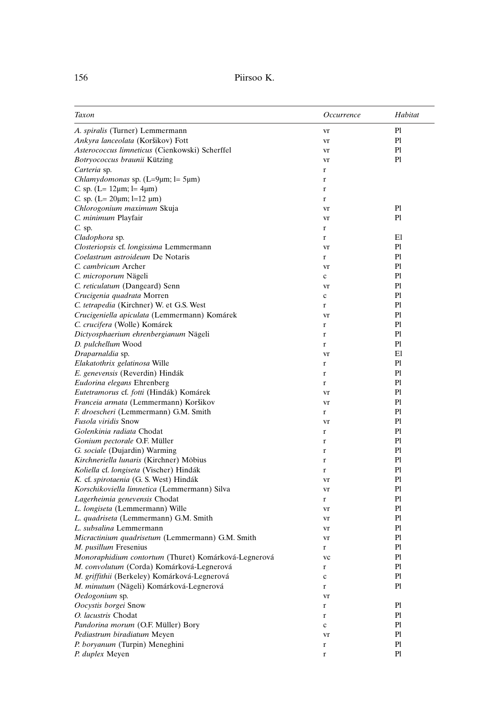| Taxon                                                | Occurrence  | Habitat        |
|------------------------------------------------------|-------------|----------------|
| A. spiralis (Turner) Lemmermann                      | vr          | Pl             |
| Ankyra lanceolata (Koršikov) Fott                    | vr          | Pl             |
| Asterococcus limneticus (Cienkowski) Scherffel       | vr          | Pl             |
| Botryococcus braunii Kützing                         | vr          | Pl             |
| Carteria sp.                                         | r           |                |
| Chlamydomonas sp. (L=9µm; l= 5µm)                    | r           |                |
| C. sp. (L= $12 \mu m$ ; l= $4 \mu m$ )               | r           |                |
| C. sp. (L= $20 \mu m$ ; l=12 $\mu m$ )               | $\mathbf r$ |                |
| Chlorogonium maximum Skuja                           | vr          | P <sub>1</sub> |
| C. minimum Playfair                                  | vr          | P1             |
| $C.$ sp.                                             | r           |                |
| Cladophora sp.                                       | r           | El             |
| Closteriopsis cf. longissima Lemmermann              | vr          | Pl             |
| Coelastrum astroideum De Notaris                     | r           | Pl             |
| C. cambricum Archer                                  | vr          | P1             |
| C. microporum Nägeli                                 | c           | P <sub>1</sub> |
| C. reticulatum (Dangeard) Senn                       | vr          | P <sub>1</sub> |
| Crucigenia quadrata Morren                           | $\mathbf c$ | Pl             |
| C. tetrapedia (Kirchner) W. et G.S. West             | r           | Pl             |
| Crucigeniella apiculata (Lemmermann) Komárek         | vr          | P1             |
| C. crucifera (Wolle) Komárek                         | r           | Pl             |
| Dictyosphaerium ehrenbergianum Nägeli                | r           | Pl             |
| D. pulchellum Wood                                   | $\bf r$     | Pl             |
| Draparnaldia sp.                                     | vr          | El             |
| Elakatothrix gelatinosa Wille                        | r           | P1             |
| E. genevensis (Reverdin) Hindák                      | r           | Pl             |
| Eudorina elegans Ehrenberg                           | r           | Pl             |
| Eutetramorus cf. fotti (Hindák) Komárek              | vr          | Pl             |
| Franceia armata (Lemmermann) Koršikov                | vr          | Pl             |
| F. droescheri (Lemmermann) G.M. Smith                | r           | P1             |
| Fusola viridis Snow                                  | vr          | Pl             |
| Golenkinia radiata Chodat                            | r           | Pl             |
| Gonium pectorale O.F. Müller                         | r           | Pl             |
| G. sociale (Dujardin) Warming                        | r           | Pl             |
| Kirchneriella lunaris (Kirchner) Möbius              | r           | P1             |
| Koliella cf. longiseta (Vischer) Hindák              | r           | Pl             |
| K. cf. spirotaenia (G. S. West) Hindák               | vr          | Pl             |
| Korschikoviella limnetica (Lemmermann) Silva         | vr          | Pl             |
| Lagerheimia genevensis Chodat                        | r           | Pl             |
| L. longiseta (Lemmermann) Wille                      | vr          | Pl             |
| L. quadriseta (Lemmermann) G.M. Smith                | vr          | Pl             |
| L. subsalina Lemmermann                              | vr          | Pl             |
| Micractinium quadrisetum (Lemmermann) G.M. Smith     | vr          | Pl             |
| M. pusillum Fresenius                                | r           | Pl             |
| Monoraphidium contortum (Thuret) Komárková-Legnerová | vc          | $\mathbf{Pl}$  |
| M. convolutum (Corda) Komárková-Legnerová            | r           | Pl             |
| M. griffithii (Berkeley) Komárková-Legnerová         | $\mathbf c$ | Pl             |
| M. minutum (Nägeli) Komárková-Legnerová              | r           | P1             |
| Oedogonium sp.                                       | vr          |                |
| Oocystis borgei Snow                                 | $\mathbf r$ | P1             |
| O. lacustris Chodat                                  | $\mathbf r$ | P1             |
| Pandorina morum (O.F. Müller) Bory                   | $\mathbf c$ | Pl             |
| Pediastrum biradiatum Meyen                          | vr          | Pl             |
| P. boryanum (Turpin) Meneghini                       | $\mathbf r$ | Pl             |
| P. duplex Meyen                                      | $\mathbf r$ | Pl             |
|                                                      |             |                |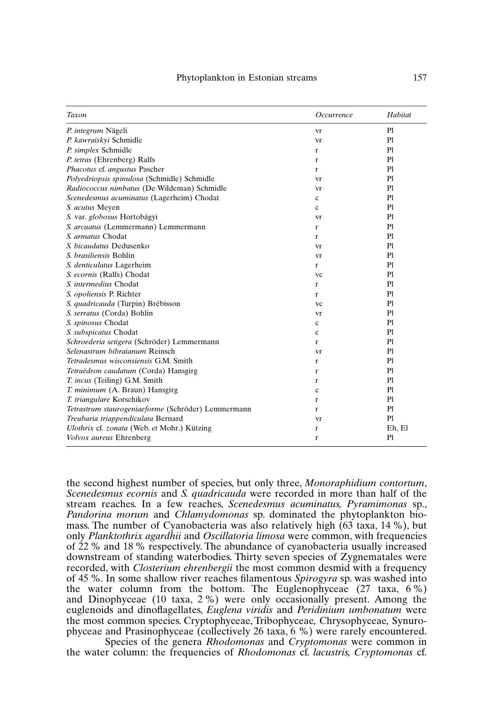| Taxon                                              | Occurrence   | Habitat |
|----------------------------------------------------|--------------|---------|
| P. integrum Nägeli                                 | vr           | Pl      |
| P. kawraiskyi Schmidle                             | vr           | P1      |
| P. simplex Schmidle                                | r            | P1      |
| P. tetras (Ehrenberg) Ralfs                        | r            | P1      |
| Phacotus cf. angustus Pascher                      | r            | P1      |
| Polyedriopsis spinulosa (Schmidle) Schmidle        | vr           | P1      |
| Radiococcus nimbatus (De Wildeman) Schmidle        | vr           | P1      |
| Scenedesmus acuminatus (Lagerheim) Chodat          | c            | P1      |
| S. acutus Meyen                                    | $\ddot{c}$   | P1      |
| S. var. globosus Hortobágyi                        | vr           | P1      |
| S. arcuatus (Lemmermann) Lemmermann                | r            | Pl      |
| S. armatus Chodat                                  | r            | P1      |
| S. bicaudatus Dedusenko                            | vr           | P1      |
| S. brasiliensis Bohlin                             | vr           | P1      |
| S. denticulatus Lagerheim                          | r            | P1      |
| S. ecornis (Ralfs) Chodat                          | vc           | P1      |
| S. intermedius Chodat                              | r            | P1      |
| S. opoliensis P. Richter                           | r            | P1      |
| S. quadricauda (Turpin) Brébisson                  | <b>VC</b>    | P1      |
| S. serratus (Corda) Bohlin                         | vr           | P1      |
| S. spinosus Chodat                                 | c            | P1      |
| S. subspicatus Chodat                              | $\ddot{c}$   | P1      |
| Schroederia setigera (Schröder) Lemmermann         | r            | P1      |
| Selenastrum bibraianum Reinsch                     | vr           | P1      |
| Tetradesmus wisconsiensis G.M. Smith               | r            | P1      |
| Tetraëdron caudatum (Corda) Hansgirg               | r            | P1      |
| T. incus (Teiling) G.M. Smith                      | $\mathbf{r}$ | P1      |
| T. minimum (A. Braun) Hansgirg                     | c            | P1      |
| T. triangulare Korschikov                          | r            | P1      |
| Tetrastrum staurogeniaeforme (Schröder) Lemmermann | $\mathbf{r}$ | P1      |
| Treubaria triappendiculata Bernard                 | vr           | P1      |
| Ulothrix cf. zonata (Web. et Mohr.) Kützing        | r            | Eh, El  |
| Volvox aureus Ehrenberg                            | r            | Pl      |

the second highest number of species, but only three, *Monoraphidium contortum*, *Scenedesmus ecornis* and *S. quadricauda* were recorded in more than half of the stream reaches. In a few reaches, *Scenedesmus acuminatus, Pyramimonas* sp., *Pandorina morum* and *Chlamydomonas* sp. dominated the phytoplankton biomass. The number of Cyanobacteria was also relatively high (63 taxa, 14 %), but only *Planktothrix agardhii* and *Oscillatoria limosa* were common, with frequencies of 22 % and 18 % respectively. The abundance of cyanobacteria usually increased downstream of standing waterbodies. Thirty seven species of Zygnematales were recorded, with *Closterium ehrenbergii* the most common desmid with a frequency of 45 %. In some shallow river reaches filamentous *Spirogyra* sp. was washed into the water column from the bottom. The Euglenophyceae  $(27 \text{ taxa}, 6\%)$ and Dinophyceae (10 taxa, 2 %) were only occasionally present. Among the euglenoids and dinoflagellates, *Euglena viridis* and *Peridinium umbonatum* were the most common species. Cryptophyceae, Tribophyceae*,* Chrysophyceae*,* Synurophyceae and Prasinophyceae (collectively 26 taxa, 6 %) were rarely encountered.

Species of the genera *Rhodomonas* and *Cryptomonas* were common in the water column: the frequencies of *Rhodomonas* cf. *lacustris, Cryptomonas* cf.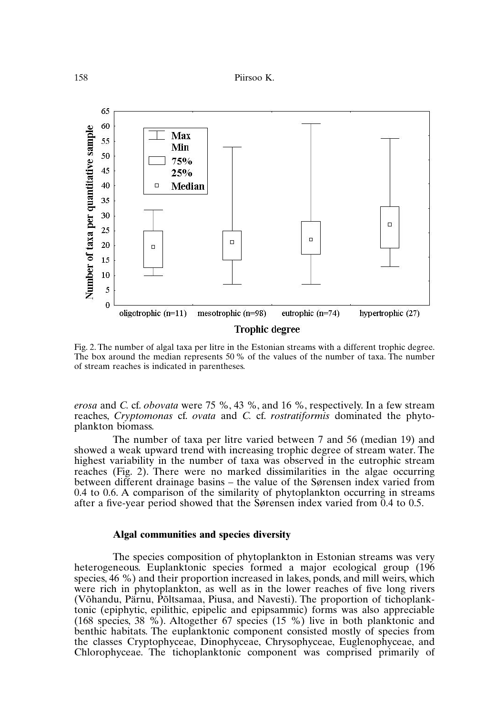

Fig. 2. The number of algal taxa per litre in the Estonian streams with a different trophic degree. The box around the median represents 50% of the values of the number of taxa. The number of stream reaches is indicated in parentheses.

*erosa* and *C.* cf. *obovata* were 75 %, 43 %, and 16 %, respectively. In a few stream reaches, *Cryptomonas* cf. *ovata* and *C.* cf. *rostratiformis* dominated the phytoplankton biomass.

The number of taxa per litre varied between 7 and 56 (median 19) and showed a weak upward trend with increasing trophic degree of stream water. The highest variability in the number of taxa was observed in the eutrophic stream reaches (Fig. 2). There were no marked dissimilarities in the algae occurring between different drainage basins – the value of the Sørensen index varied from 0.4 to 0.6. A comparison of the similarity of phytoplankton occurring in streams after a five-year period showed that the Sørensen index varied from 0.4 to 0.5.

#### **Algal communities and species diversity**

The species composition of phytoplankton in Estonian streams was very heterogeneous. Euplanktonic species formed a major ecological group (196 species, 46 %) and their proportion increased in lakes, ponds, and mill weirs, which were rich in phytoplankton, as well as in the lower reaches of five long rivers (Võhandu, Pärnu, Põltsamaa, Piusa, and Navesti). The proportion of tichoplanktonic (epiphytic, epilithic, epipelic and epipsammic) forms was also appreciable (168 species, 38 %). Altogether 67 species (15 %) live in both planktonic and benthic habitats. The euplanktonic component consisted mostly of species from the classes Cryptophyceae, Dinophyceae, Chrysophyceae, Euglenophyceae, and Chlorophyceae. The tichoplanktonic component was comprised primarily of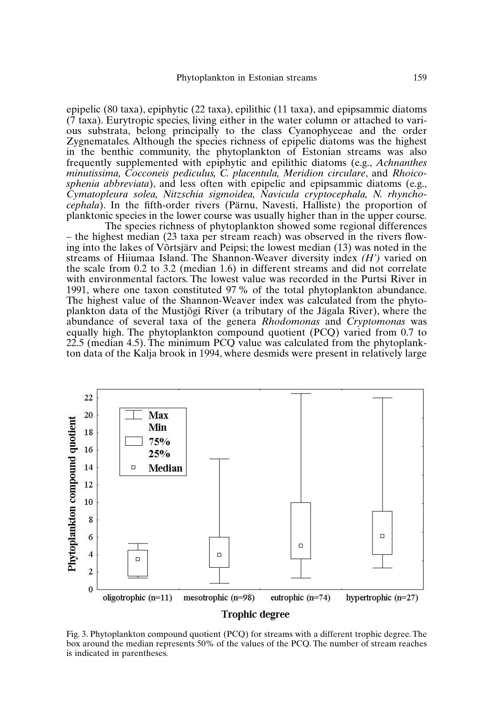epipelic (80 taxa), epiphytic (22 taxa), epilithic (11 taxa), and epipsammic diatoms  $(7 \text{ taxa})$ . Eurytropic species, living either in the water column or attached to various substrata, belong principally to the class Cyanophyceae and the order Zygnematales. Although the species richness of epipelic diatoms was the highest in the benthic community, the phytoplankton of Estonian streams was also frequently supplemented with epiphytic and epilithic diatoms (e.g., *Achnanthes minutissima, Cocconeis pediculus, C. placentula, Meridion circulare*, and *Rhoicosphenia abbreviata*), and less often with epipelic and epipsammic diatoms (e.g., *Cymatopleura solea, Nitzschia sigmoidea, Navicula cryptocephala, N. rhynchocephala*). In the fifth-order rivers (Pärnu, Navesti, Halliste) the proportion of planktonic species in the lower course was usually higher than in the upper course.

The species richness of phytoplankton showed some regional differences – the highest median (23 taxa per stream reach) was observed in the rivers flowing into the lakes of Võrtsjärv and Peipsi; the lowest median (13) was noted in the streams of Hiiumaa Island. The Shannon-Weaver diversity index *(H')* varied on the scale from 0.2 to 3.2 (median 1.6) in different streams and did not correlate with environmental factors. The lowest value was recorded in the Purtsi River in 1991, where one taxon constituted 97 % of the total phytoplankton abundance. The highest value of the Shannon-Weaver index was calculated from the phytoplankton data of the Mustjõgi River (a tributary of the Jägala River), where the abundance of several taxa of the genera *Rhodomonas* and *Cryptomonas* was equally high. The phytoplankton compound quotient (PCQ) varied from 0.7 to 22.5 (median 4.5). The minimum PCQ value was calculated from the phytoplankton data of the Kalja brook in 1994, where desmids were present in relatively large



Fig. 3. Phytoplankton compound quotient (PCQ) for streams with a different trophic degree. The box around the median represents 50% of the values of the PCQ. The number of stream reaches is indicated in parentheses.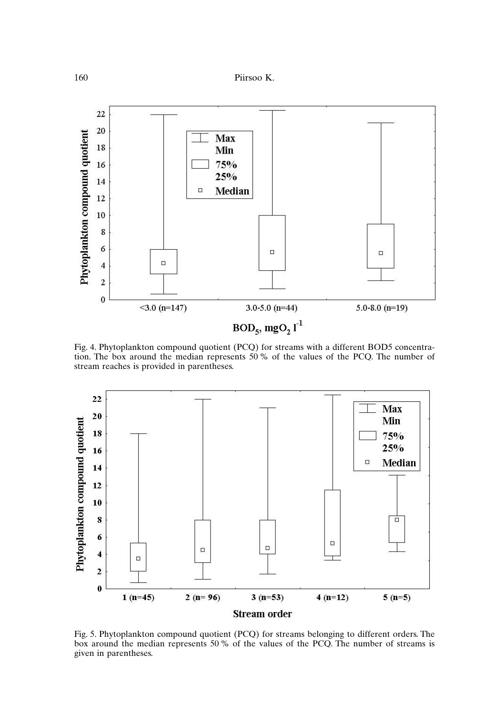

Fig. 4. Phytoplankton compound quotient (PCQ) for streams with a different BOD5 concentration. The box around the median represents 50% of the values of the PCQ. The number of stream reaches is provided in parentheses.



Fig. 5. Phytoplankton compound quotient (PCQ) for streams belonging to different orders. The box around the median represents 50% of the values of the PCQ. The number of streams is given in parentheses.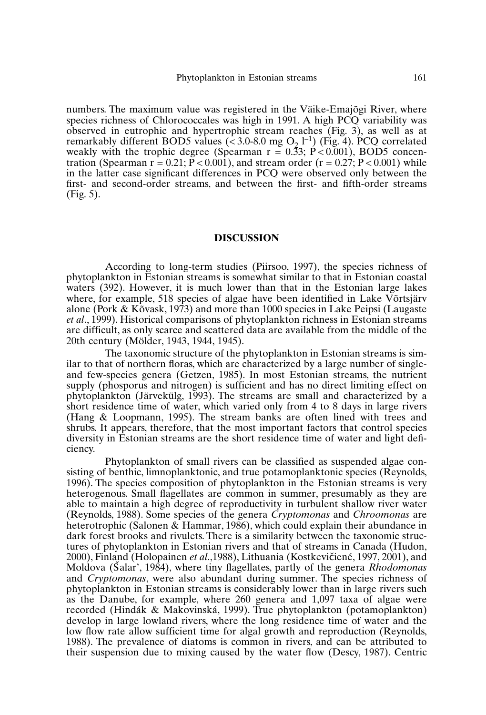numbers. The maximum value was registered in the Väike-Emajõgi River, where species richness of Chlorococcales was high in 1991. A high PCO variability was observed in eutrophic and hypertrophic stream reaches (Fig. 3), as well as at remarkably different BOD5 values ( $\leq 3.0$ -8.0 mg O<sub>2</sub> l<sup>-1</sup>) (Fig. 4). PCQ correlated weakly with the trophic degree (Spearman  $r = 0.53$ ;  $\hat{P} < 0.001$ ), BOD5 concentration (Spearman  $r = 0.21$ ;  $\overline{P} < 0.001$ ), and stream order ( $r = 0.27$ ;  $P < 0.001$ ) while in the latter case significant differences in PCQ were observed only between the first- and second-order streams, and between the first- and fifth-order streams (Fig. 5).

#### **DISCUSSION**

According to long-term studies (Piirsoo, 1997), the species richness of phytoplankton in Estonian streams is somewhat similar to that in Estonian coastal waters (392). However, it is much lower than that in the Estonian large lakes where, for example, 518 species of algae have been identified in Lake Võrtsjärv alone (Pork & Kõvask, 1973) and more than 1000 species in Lake Peipsi (Laugaste *et al*., 1999). Historical comparisons of phytoplankton richness in Estonian streams are difficult, as only scarce and scattered data are available from the middle of the 20th century (Mölder, 1943, 1944, 1945).

The taxonomic structure of the phytoplankton in Estonian streams is similar to that of northern floras, which are characterized by a large number of singleand few-species genera (Getzen, 1985). In most Estonian streams, the nutrient supply (phosporus and nitrogen) is sufficient and has no direct limiting effect on phytoplankton (Järvekülg, 1993). The streams are small and characterized by a short residence time of water, which varied only from 4 to 8 days in large rivers (Hang & Loopmann, 1995). The stream banks are often lined with trees and shrubs. It appears, therefore, that the most important factors that control species diversity in Estonian streams are the short residence time of water and light deficiency.

Phytoplankton of small rivers can be classified as suspended algae consisting of benthic, limnoplanktonic, and true potamoplanktonic species (Reynolds, 1996). The species composition of phytoplankton in the Estonian streams is very heterogenous. Small flagellates are common in summer, presumably as they are able to maintain a high degree of reproductivity in turbulent shallow river water (Reynolds, 1988). Some species of the genera *Cryptomonas* and *Chroomonas* are heterotrophic (Salonen & Hammar, 1986), which could explain their abundance in dark forest brooks and rivulets. There is a similarity between the taxonomic structures of phytoplankton in Estonian rivers and that of streams in Canada (Hudon, 2000), Finland (Holopainen *et al*.,1988), Lithuania (Kostkevičiené, 1997, 2001), and Moldova (Salar', 1984), where tiny flagellates, partly of the genera *Rhodomonas* and *Cryptomonas*, were also abundant during summer. The species richness of phytoplankton in Estonian streams is considerably lower than in large rivers such as the Danube, for example, where 260 genera and 1,097 taxa of algae were recorded (Hindák & Makovinská, 1999). True phytoplankton (potamoplankton) develop in large lowland rivers, where the long residence time of water and the low flow rate allow sufficient time for algal growth and reproduction (Reynolds, 1988). The prevalence of diatoms is common in rivers, and can be attributed to their suspension due to mixing caused by the water flow (Descy, 1987). Centric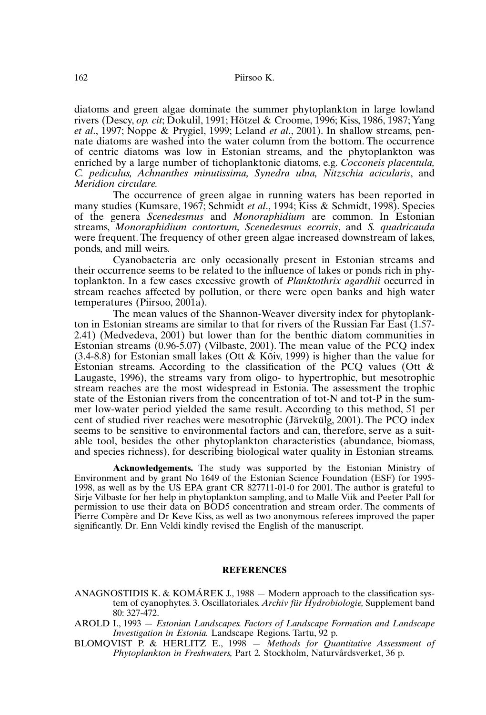diatoms and green algae dominate the summer phytoplankton in large lowland rivers (Descy, *op. cit*; Dokulil, 1991; Hötzel & Croome, 1996; Kiss, 1986, 1987; Yang *et al*., 1997; Noppe & Prygiel, 1999; Leland *et al*., 2001). In shallow streams, pennate diatoms are washed into the water column from the bottom. The occurrence of centric diatoms was low in Estonian streams, and the phytoplankton was enriched by a large number of tichoplanktonic diatoms, e.g. *Cocconeis placentula, C. pediculus, Achnanthes minutissima, Synedra ulna, Nitzschia acicularis*, and *Meridion circulare.*

The occurrence of green algae in running waters has been reported in many studies (Kumsare, 1967; Schmidt *et al*., 1994; Kiss & Schmidt, 1998). Species of the genera *Scenedesmus* and *Monoraphidium* are common. In Estonian streams, *Monoraphidium contortum, Scenedesmus ecornis*, and *S. quadricauda* were frequent. The frequency of other green algae increased downstream of lakes, ponds, and mill weirs.

Cyanobacteria are only occasionally present in Estonian streams and their occurrence seems to be related to the influence of lakes or ponds rich in phytoplankton. In a few cases excessive growth of *Planktothrix agardhii* occurred in stream reaches affected by pollution, or there were open banks and high water temperatures (Piirsoo, 2001a).

The mean values of the Shannon-Weaver diversity index for phytoplankton in Estonian streams are similar to that for rivers of the Russian Far East (1.57- 2.41) (Medvedeva, 2001) but lower than for the benthic diatom communities in Estonian streams (0.96-5.07) (Vilbaste, 2001). The mean value of the PCQ index (3.4-8.8) for Estonian small lakes (Ott & Kõiv, 1999) is higher than the value for Estonian streams. According to the classification of the PCQ values (Ott & Laugaste, 1996), the streams vary from oligo- to hypertrophic, but mesotrophic stream reaches are the most widespread in Estonia. The assessment the trophic state of the Estonian rivers from the concentration of tot-N and tot-P in the summer low-water period yielded the same result. According to this method, 51 per cent of studied river reaches were mesotrophic (Järvekülg, 2001). The PCQ index seems to be sensitive to environmental factors and can, therefore, serve as a suitable tool, besides the other phytoplankton characteristics (abundance, biomass, and species richness), for describing biological water quality in Estonian streams.

**Acknowledgements.** The study was supported by the Estonian Ministry of Environment and by grant No 1649 of the Estonian Science Foundation (ESF) for 1995- 1998, as well as by the US EPA grant CR 827711-01-0 for 2001. The author is grateful to Sirje Vilbaste for her help in phytoplankton sampling, and to Malle Viik and Peeter Pall for permission to use their data on BOD5 concentration and stream order. The comments of Pierre Compère and Dr Keve Kiss, as well as two anonymous referees improved the paper significantly. Dr. Enn Veldi kindly revised the English of the manuscript.

#### **REFERENCES**

- ANAGNOSTIDIS K. & KOMÁREK J., 1988  $-$  Modern approach to the classification system of cyanophytes. 3. Oscillatoriales. *Archiv für Hydrobiologie,* Supplement band 80: 327-472.
- AROLD I., 1993 *Estonian Landscapes. Factors of Landscape Formation and Landscape Investigation in Estonia.* Landscape Regions. Tartu, 92 p.
- BLOMQVIST P. & HERLITZ E., 1998 *Methods for Quantitative Assessment of Phytoplankton in Freshwaters,* Part 2*.* Stockholm, Naturvårdsverket, 36 p.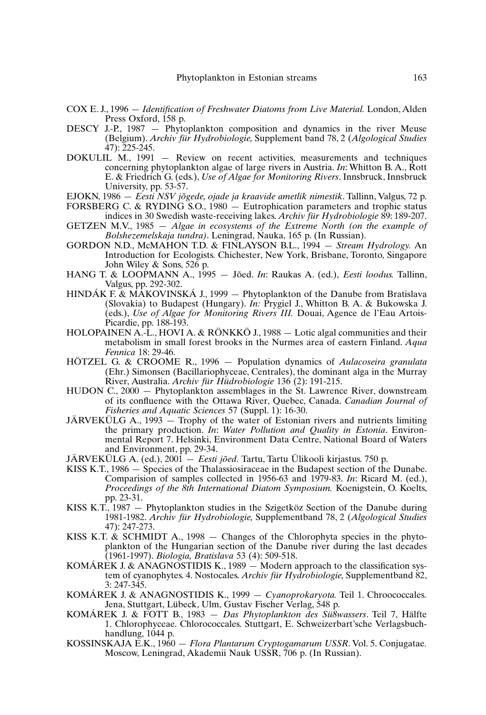- COX E. J., 1996 *Identification of Freshwater Diatoms from Live Material.* London, Alden Press Oxford, 158 p.
- DESCY J.-P., 1987 Phytoplankton composition and dynamics in the river Meuse (Belgium). *Archiv für Hydrobiologie,* Supplement band 78, 2 (*Algological Studies*  $\lambda$ 7): 225-245.
- DOKULIL M., 1991 Review on recent activities, measurements and techniques concerning phytoplankton algae of large rivers in Austria. *In*: Whitton B. A., Rott E. & Friedrich G. (eds.), *Use of Algae for Monitoring Rivers*. Innsbruck, Innsbruck University, pp. 53-57.
- EJOKN, 1986 *Eesti NSV jõgede, ojade ja kraavide ametlik nimestik*. Tallinn, Valgus, 72 p.
- FORSBERG C. & RYDING S.O., 1980 Eutrophication parameters and trophic status indices in 30 Swedish waste-receiving lakes. *Archiv für Hydrobiologie* 89: 189-207.
- GETZEN M.V., 1985 *Algae in ecosystems of the Extreme North (on the example of Bolshezemelskaja tundra)*. Leningrad, Nauka, 165 p. (In Russian).
- GORDON N.D., McMAHON T.D. & FINLAYSON B.L., 1994 *Stream Hydrology.* An Introduction for Ecologists. Chichester, New York, Brisbane, Toronto, Singapore John Wiley & Sons,  $526$  p.
- HANG T. & LOOPMANN A., 1995 Jõed. *In*: Raukas A. (ed.), *Eesti loodus.* Tallinn, Valgus, pp. 292-302.
- HINDÁK F. & MAKOVINSKÁ J., 1999 Phytoplankton of the Danube from Bratislava (Slovakia) to Budapest (Hungary). *In:* Prygiel J., Whitton B. A. & Bukowska J. (eds.), *Use of Algae for Monitoring Rivers III.* Douai, Agence de l'Eau Artois-Picardie, pp. 188-193.
- HOLOPAINEN A.-L., HOVI A. & RÖNKKÖ J., 1988 Lotic algal communities and their metabolism in small forest brooks in the Nurmes area of eastern Finland. *Aqua Fennica* 18: 29-46.
- HÖTZEL G. & CROOME R., 1996 Population dynamics of *Aulacoseira granulata* (Ehr.) Simonsen (Bacillariophyceae, Centrales), the dominant alga in the Murray River, Australia. *Archiv für Hüdrobiologie* 136 (2): 191-215.
- HUDON C., 2000 Phytoplankton assemblages in the St. Lawrence River, downstream of its confluence with the Ottawa River, Quebec, Canada. *Canadian Journal of Fisheries and Aquatic Sciences* 57 (Suppl. 1): 16-30.
- JÄRVEKÜLG A., 1993  $-$  Trophy of the water of Estonian rivers and nutrients limiting the primary production. *In*: *Water Pollution and Quality in Estonia*. Environmental Report 7. Helsinki, Environment Data Centre, National Board of Waters and Environment, pp. 29-34.
- JÄRVEKÜLG A. (ed.), 2001 *Eesti jõed.* Tartu, Tartu Ülikooli kirjastus. 750 p.
- KISS K.T., 1986 Species of the Thalassiosiraceae in the Budapest section of the Dunabe. Comparision of samples collected in 1956-63 and 1979-83. *In*: Ricard M. (ed.), *Proceedings of the 8th International Diatom Symposium.* Koenigstein, O. Koelts, pp. 23-31.
- KISS K.T., 1987 Phytoplankton studies in the Szigetköz Section of the Danube during 1981-1982. *Archiv für Hydrobiologie,* Supplementband 78, 2 (*Algological Studies* 47): 247-273.
- KISS K.T.  $\&$  SCHMIDT A., 1998 Changes of the Chlorophyta species in the phytoplankton of the Hungarian section of the Danube river during the last decades (1961-1997). *Biologia, Bratislava* 53 (4): 509-518.
- KOMÁREK J. & ANAGNOSTIDIS K., 1989 Modern approach to the classification system of cyanophytes. 4. Nostocales. *Archiv für Hydrobiologie,* Supplementband 82, 3: 247-345.
- KOMÁREK J. & ANAGNOSTIDIS K., 1999 *Cyanoprokaryota.* Teil 1. Chroococcales*.* Jena, Stuttgart, Lübeck, Ulm, Gustav Fischer Verlag, 548 p.
- KOMÁREK J. & FOTT B., 1983 *Das Phytoplankton des Sü8wassers*. Teil 7, Hälfte 1. Chlorophyceae. Chlorococcales. Stuttgart, E. Schweizerbart'sche Verlagsbuchhandlung, 1044 p.
- KOSSINSKAJA E.K., 1960 *Flora Plantarum Cryptogamarum USSR*. Vol. 5. Conjugatae*.* Moscow, Leningrad, Akademii Nauk USSR, 706 p. (In Russian).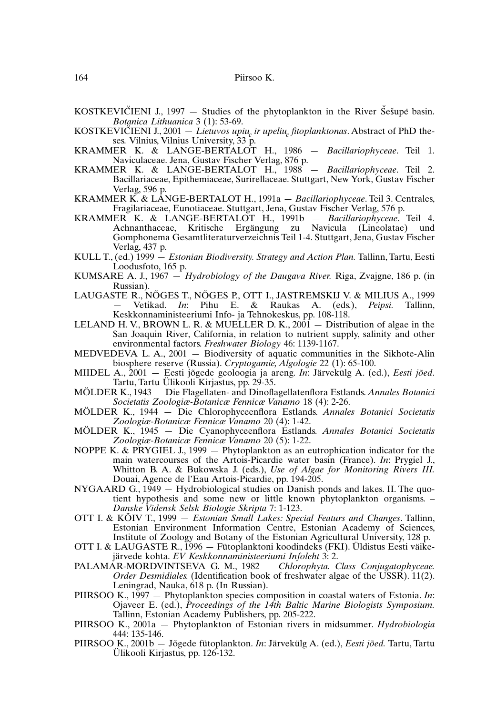- KOSTKEVICIENI J., 1997 Studies of the phytoplankton in the River Sešupe basin. *Botanica Lithuanica* 3 (1): 53-69.
- KOSTKEVICIENI J., 2001 *Lietuvos upiu, ir upeliu, fitoplanktonas*. Abstract of PhD theses*.* Vilnius, Vilnius University, 33 p.
- KRAMMER K. & LANGE-BERTALOT H., 1986 *Bacillariophyceae*. Teil 1. Naviculaceae. Jena, Gustav Fischer Verlag, 876 p.
- KRAMMER K. & LANGE-BERTALOT H., 1988 *Bacillariophyceae*. Teil 2. Bacillariaceae, Epithemiaceae, Surirellaceae. Stuttgart, New York, Gustav Fischer Verlag, 596 p.
- KRAMMER K. & LANGE-BERTALOT H., 1991a *Bacillariophyceae*. Teil 3. Centrales, Fragilariaceae, Eunotiaceae. Stuttgart, Jena, Gustav Fischer Verlag, 576 p.
- KRAMMER K. & LANGE-BERTALOT H., 1991b *Bacillariophyceae*. Teil 4. Achnanthaceae, Kritische Ergängung zu Navicula (Lineolatae) und Gomphonema Gesamtliteraturverzeichnis Teil 1-4. Stuttgart, Jena, Gustav Fischer Verlag, 437 p.
- KULL T., (ed.) 1999 *Estonian Biodiversity. Strategy and Action Plan.* Tallinn, Tartu, Eesti Loodusfoto, 165 p.
- KUMSARE A. J., 1967 *Hydrobiology of the Daugava River.* Riga, Zvajgne, 186 p. (in Russian).
- LAUGASTE R., NÕGES T., NÕGES P., OTT I., JASTREMSKIJ V. & MILIUS A., 1999<br>- Vetikad. *In*: Pihu E. & Raukas A. (eds.). *Peinsi*. Tallinn. Vetikad. *In*: Pihu E. & Raukas A. (eds.), *Peipsi*. Keskkonnaministeeriumi Info- ja Tehnokeskus, pp. 108-118.
- LELAND H. V., BROWN L. R. & MUELLER D. K.,  $2001 -$  Distribution of algae in the San Joaquin River, California, in relation to nutrient supply, salinity and other environmental factors. *Freshwater Biology* 46: 1139-1167.
- MEDVEDEVA L. A., 2001 Biodiversity of aquatic communities in the Sikhote-Alin biosphere reserve (Russia). *Cryptogamie, Algologie* 22 (1): 65-100.
- MIIDEL A., 2001 Eesti jõgede geoloogia ja areng. *In*: Järvekülg A. (ed.), *Eesti jõed*. Tartu, Tartu Ülikooli Kirjastus, pp. 29-35.
- MÖLDER K., 1943 Die Flagellaten- and Dinoflagellatenflora Estlands. *Annales Botanici Societatis Zoologiæ-Botanicæ Fennicæ Vanamo* 18 (4): 2-26.
- MÖLDER K., 1944 Die Chlorophyceenflora Estlands. *Annales Botanici Societatis Zoologiæ-Botanicæ Fennicæ Vanamo* 20 (4): 1-42.
- MÖLDER K., 1945 Die Cyanophyceenflora Estlands. *Annales Botanici Societatis Zoologiæ-Botanicæ Fennicæ Vanamo* 20 (5): 1-22.
- NOPPE K. & PRYGIEL J., 1999  $-$  Phytoplankton as an eutrophication indicator for the main watercourses of the Artois-Picardie water basin (France). *In*: Prygiel J., Whitton B. A. & Bukowska J. (eds.), *Use of Algae for Monitoring Rivers III.* Douai, Agence de l'Eau Artois-Picardie, pp. 194-205.
- NYGAARD G.,  $1949 Hydrobiological studies on Danish pounds and lakes. II. The quo$ tient hypothesis and some new or little known phytoplankton organisms. – *Danske Vidensk Selsk Biologie Skripta* 7: 1-123.
- OTT I. & KÕIV T., 1999 *Estonian Small Lakes: Special Featurs and Changes*. Tallinn, Estonian Environment Information Centre, Estonian Academy of Sciences, Institute of Zoology and Botany of the Estonian Agricultural University, 128 p.
- OTT I. & LAUGASTE R., 1996 Fütoplanktoni koodindeks (FKI). Üldistus Eesti väikejärvede kohta. *EV Keskkonnaministeeriumi Infoleht* 3: 2.
- PALAMAR-MORDVINTSEVA G. M., 1982 *Chlorophyta. Class Conjugatophyceae. Order Desmidiales.* (Identification book of freshwater algae of the USSR). 11(2). Leningrad, Nauka,  $\hat{6}18$  p. (In Russian).
- PIIRSOO K., 1997 Phytoplankton species composition in coastal waters of Estonia. *In*: Ojaveer E. (ed.), *Proceedings of the 14th Baltic Marine Biologists Symposium.* Tallinn, Estonian Academy Publishers, pp. 205-222.
- PIIRSOO K., 2001a Phytoplankton of Estonian rivers in midsummer. *Hydrobiologia* 444: 135-146.
- PIIRSOO K., 2001b Jõgede fütoplankton. *In*: Järvekülg A. (ed.), *Eesti jõed.* Tartu, Tartu Ülikooli Kirjastus, pp. 126-132.